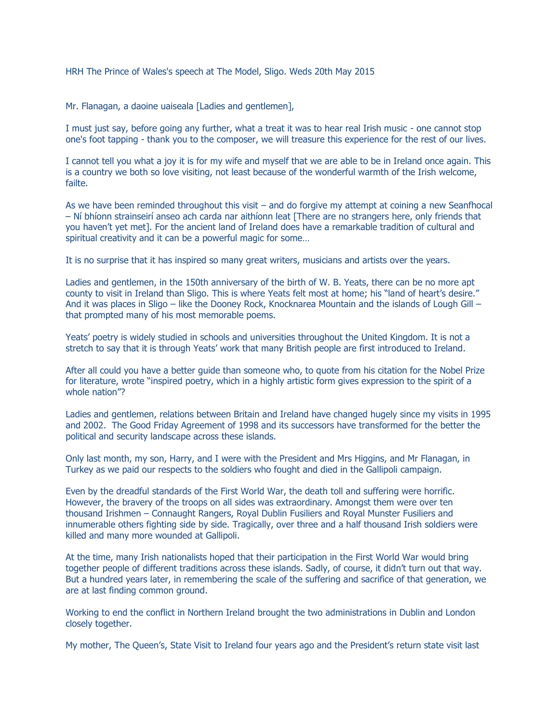HRH The Prince of Wales's speech at The Model, Sligo. Weds 20th May 2015

Mr. Flanagan, a daoine uaiseala [Ladies and gentlemen],

I must just say, before going any further, what a treat it was to hear real Irish music - one cannot stop one's foot tapping - thank you to the composer, we will treasure this experience for the rest of our lives.

I cannot tell you what a joy it is for my wife and myself that we are able to be in Ireland once again. This is a country we both so love visiting, not least because of the wonderful warmth of the Irish welcome, failte.

As we have been reminded throughout this visit – and do forgive my attempt at coining a new Seanfhocal – Ní bhíonn strainseirí anseo ach carda nar aithíonn leat [There are no strangers here, only friends that you haven't yet met]. For the ancient land of Ireland does have a remarkable tradition of cultural and spiritual creativity and it can be a powerful magic for some…

It is no surprise that it has inspired so many great writers, musicians and artists over the years.

Ladies and gentlemen, in the 150th anniversary of the birth of W. B. Yeats, there can be no more apt county to visit in Ireland than Sligo. This is where Yeats felt most at home; his "land of heart's desire." And it was places in Sligo – like the Dooney Rock, Knocknarea Mountain and the islands of Lough Gill – that prompted many of his most memorable poems.

Yeats' poetry is widely studied in schools and universities throughout the United Kingdom. It is not a stretch to say that it is through Yeats' work that many British people are first introduced to Ireland.

After all could you have a better guide than someone who, to quote from his citation for the Nobel Prize for literature, wrote "inspired poetry, which in a highly artistic form gives expression to the spirit of a whole nation"?

Ladies and gentlemen, relations between Britain and Ireland have changed hugely since my visits in 1995 and 2002. The Good Friday Agreement of 1998 and its successors have transformed for the better the political and security landscape across these islands.

Only last month, my son, Harry, and I were with the President and Mrs Higgins, and Mr Flanagan, in Turkey as we paid our respects to the soldiers who fought and died in the Gallipoli campaign.

Even by the dreadful standards of the First World War, the death toll and suffering were horrific. However, the bravery of the troops on all sides was extraordinary. Amongst them were over ten thousand Irishmen – Connaught Rangers, Royal Dublin Fusiliers and Royal Munster Fusiliers and innumerable others fighting side by side. Tragically, over three and a half thousand Irish soldiers were killed and many more wounded at Gallipoli.

At the time, many Irish nationalists hoped that their participation in the First World War would bring together people of different traditions across these islands. Sadly, of course, it didn't turn out that way. But a hundred years later, in remembering the scale of the suffering and sacrifice of that generation, we are at last finding common ground.

Working to end the conflict in Northern Ireland brought the two administrations in Dublin and London closely together.

My mother, The Queen's, State Visit to Ireland four years ago and the President's return state visit last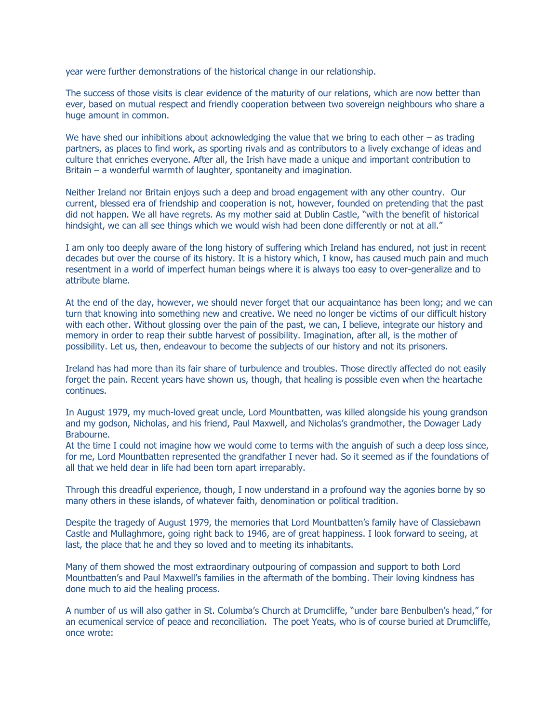year were further demonstrations of the historical change in our relationship.

The success of those visits is clear evidence of the maturity of our relations, which are now better than ever, based on mutual respect and friendly cooperation between two sovereign neighbours who share a huge amount in common.

We have shed our inhibitions about acknowledging the value that we bring to each other  $-$  as trading partners, as places to find work, as sporting rivals and as contributors to a lively exchange of ideas and culture that enriches everyone. After all, the Irish have made a unique and important contribution to Britain – a wonderful warmth of laughter, spontaneity and imagination.

Neither Ireland nor Britain enjoys such a deep and broad engagement with any other country. Our current, blessed era of friendship and cooperation is not, however, founded on pretending that the past did not happen. We all have regrets. As my mother said at Dublin Castle, "with the benefit of historical hindsight, we can all see things which we would wish had been done differently or not at all."

I am only too deeply aware of the long history of suffering which Ireland has endured, not just in recent decades but over the course of its history. It is a history which, I know, has caused much pain and much resentment in a world of imperfect human beings where it is always too easy to over-generalize and to attribute blame.

At the end of the day, however, we should never forget that our acquaintance has been long; and we can turn that knowing into something new and creative. We need no longer be victims of our difficult history with each other. Without glossing over the pain of the past, we can, I believe, integrate our history and memory in order to reap their subtle harvest of possibility. Imagination, after all, is the mother of possibility. Let us, then, endeavour to become the subjects of our history and not its prisoners.

Ireland has had more than its fair share of turbulence and troubles. Those directly affected do not easily forget the pain. Recent years have shown us, though, that healing is possible even when the heartache continues.

In August 1979, my much-loved great uncle, Lord Mountbatten, was killed alongside his young grandson and my godson, Nicholas, and his friend, Paul Maxwell, and Nicholas's grandmother, the Dowager Lady Brabourne.

At the time I could not imagine how we would come to terms with the anguish of such a deep loss since, for me, Lord Mountbatten represented the grandfather I never had. So it seemed as if the foundations of all that we held dear in life had been torn apart irreparably.

Through this dreadful experience, though, I now understand in a profound way the agonies borne by so many others in these islands, of whatever faith, denomination or political tradition.

Despite the tragedy of August 1979, the memories that Lord Mountbatten's family have of Classiebawn Castle and Mullaghmore, going right back to 1946, are of great happiness. I look forward to seeing, at last, the place that he and they so loved and to meeting its inhabitants.

Many of them showed the most extraordinary outpouring of compassion and support to both Lord Mountbatten's and Paul Maxwell's families in the aftermath of the bombing. Their loving kindness has done much to aid the healing process.

A number of us will also gather in St. Columba's Church at Drumcliffe, "under bare Benbulben's head," for an ecumenical service of peace and reconciliation. The poet Yeats, who is of course buried at Drumcliffe, once wrote: